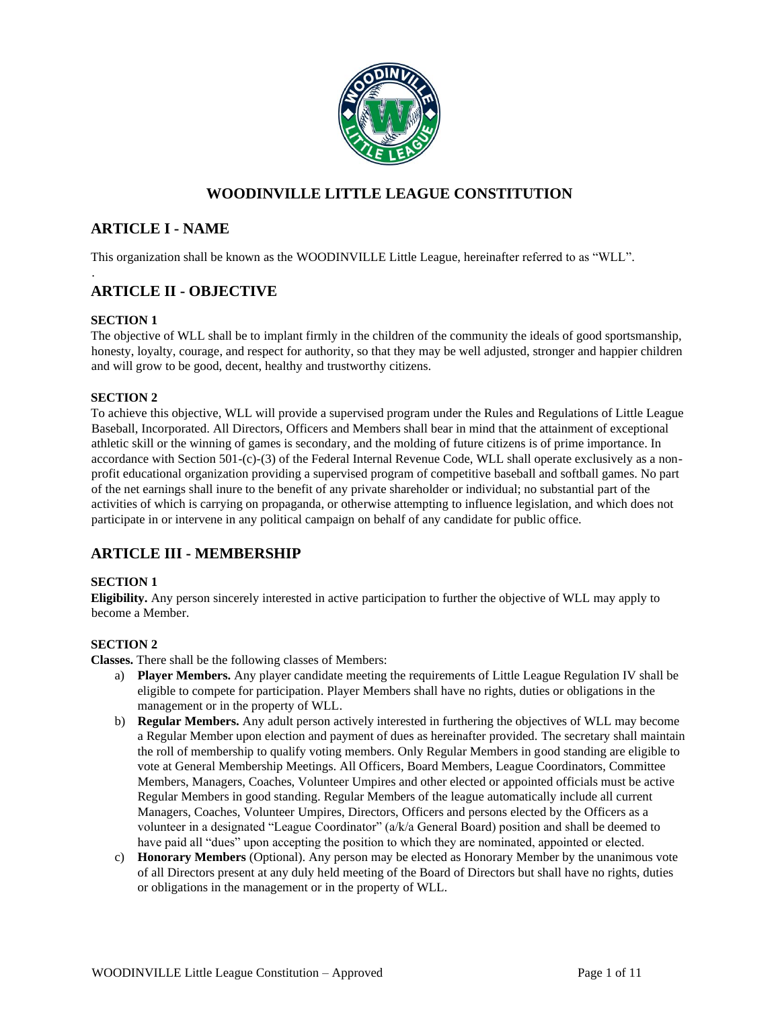

## **WOODINVILLE LITTLE LEAGUE CONSTITUTION**

## **ARTICLE I - NAME**

This organization shall be known as the WOODINVILLE Little League, hereinafter referred to as "WLL".

## **ARTICLE II - OBJECTIVE**

## **SECTION 1**

.

The objective of WLL shall be to implant firmly in the children of the community the ideals of good sportsmanship, honesty, loyalty, courage, and respect for authority, so that they may be well adjusted, stronger and happier children and will grow to be good, decent, healthy and trustworthy citizens.

## **SECTION 2**

To achieve this objective, WLL will provide a supervised program under the Rules and Regulations of Little League Baseball, Incorporated. All Directors, Officers and Members shall bear in mind that the attainment of exceptional athletic skill or the winning of games is secondary, and the molding of future citizens is of prime importance. In accordance with Section 501-(c)-(3) of the Federal Internal Revenue Code, WLL shall operate exclusively as a nonprofit educational organization providing a supervised program of competitive baseball and softball games. No part of the net earnings shall inure to the benefit of any private shareholder or individual; no substantial part of the activities of which is carrying on propaganda, or otherwise attempting to influence legislation, and which does not participate in or intervene in any political campaign on behalf of any candidate for public office.

## **ARTICLE III - MEMBERSHIP**

## **SECTION 1**

**Eligibility.** Any person sincerely interested in active participation to further the objective of WLL may apply to become a Member.

## **SECTION 2**

**Classes.** There shall be the following classes of Members:

- a) **Player Members.** Any player candidate meeting the requirements of Little League Regulation IV shall be eligible to compete for participation. Player Members shall have no rights, duties or obligations in the management or in the property of WLL.
- b) **Regular Members.** Any adult person actively interested in furthering the objectives of WLL may become a Regular Member upon election and payment of dues as hereinafter provided. The secretary shall maintain the roll of membership to qualify voting members. Only Regular Members in good standing are eligible to vote at General Membership Meetings. All Officers, Board Members, League Coordinators, Committee Members, Managers, Coaches, Volunteer Umpires and other elected or appointed officials must be active Regular Members in good standing. Regular Members of the league automatically include all current Managers, Coaches, Volunteer Umpires, Directors, Officers and persons elected by the Officers as a volunteer in a designated "League Coordinator" (a/k/a General Board) position and shall be deemed to have paid all "dues" upon accepting the position to which they are nominated, appointed or elected.
- c) **Honorary Members** (Optional). Any person may be elected as Honorary Member by the unanimous vote of all Directors present at any duly held meeting of the Board of Directors but shall have no rights, duties or obligations in the management or in the property of WLL.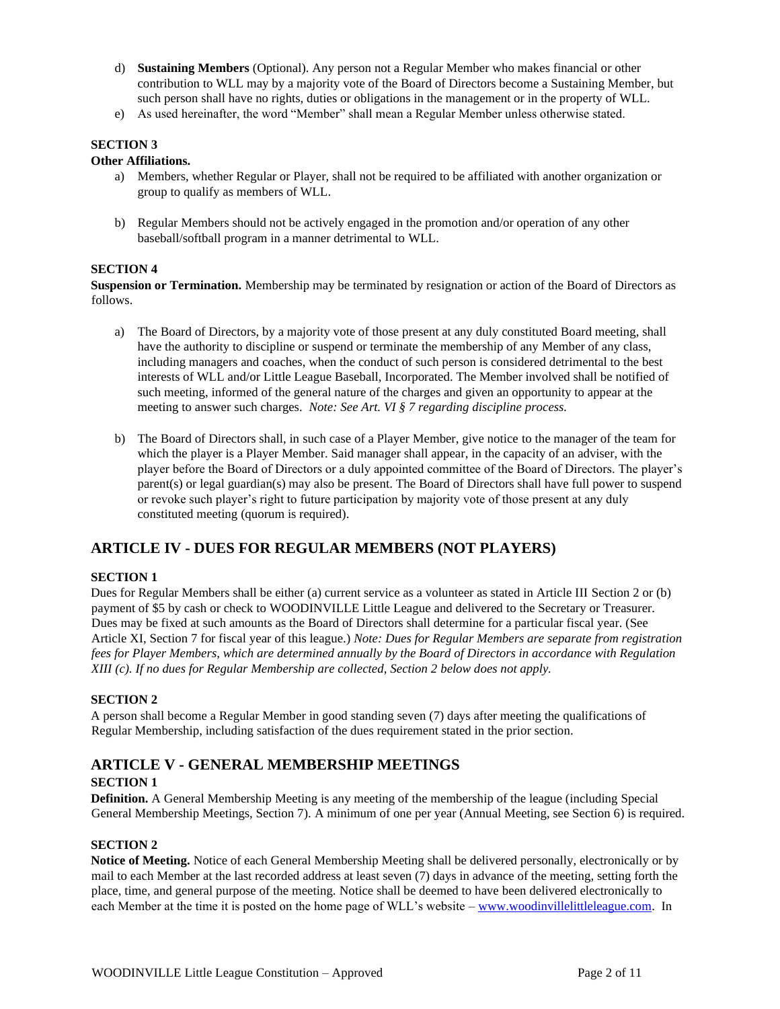- d) **Sustaining Members** (Optional). Any person not a Regular Member who makes financial or other contribution to WLL may by a majority vote of the Board of Directors become a Sustaining Member, but such person shall have no rights, duties or obligations in the management or in the property of WLL.
- e) As used hereinafter, the word "Member" shall mean a Regular Member unless otherwise stated.

#### **Other Affiliations.**

- a) Members, whether Regular or Player, shall not be required to be affiliated with another organization or group to qualify as members of WLL.
- b) Regular Members should not be actively engaged in the promotion and/or operation of any other baseball/softball program in a manner detrimental to WLL.

#### **SECTION 4**

**Suspension or Termination.** Membership may be terminated by resignation or action of the Board of Directors as follows.

- a) The Board of Directors, by a majority vote of those present at any duly constituted Board meeting, shall have the authority to discipline or suspend or terminate the membership of any Member of any class, including managers and coaches, when the conduct of such person is considered detrimental to the best interests of WLL and/or Little League Baseball, Incorporated. The Member involved shall be notified of such meeting, informed of the general nature of the charges and given an opportunity to appear at the meeting to answer such charges. *Note: See Art. VI § 7 regarding discipline process.*
- b) The Board of Directors shall, in such case of a Player Member, give notice to the manager of the team for which the player is a Player Member. Said manager shall appear, in the capacity of an adviser, with the player before the Board of Directors or a duly appointed committee of the Board of Directors. The player's parent(s) or legal guardian(s) may also be present. The Board of Directors shall have full power to suspend or revoke such player's right to future participation by majority vote of those present at any duly constituted meeting (quorum is required).

## **ARTICLE IV - DUES FOR REGULAR MEMBERS (NOT PLAYERS)**

#### **SECTION 1**

Dues for Regular Members shall be either (a) current service as a volunteer as stated in Article III Section 2 or (b) payment of \$5 by cash or check to WOODINVILLE Little League and delivered to the Secretary or Treasurer. Dues may be fixed at such amounts as the Board of Directors shall determine for a particular fiscal year. (See Article XI, Section 7 for fiscal year of this league.) *Note: Dues for Regular Members are separate from registration fees for Player Members, which are determined annually by the Board of Directors in accordance with Regulation XIII (c). If no dues for Regular Membership are collected, Section 2 below does not apply.* 

#### **SECTION 2**

A person shall become a Regular Member in good standing seven (7) days after meeting the qualifications of Regular Membership, including satisfaction of the dues requirement stated in the prior section.

# **ARTICLE V - GENERAL MEMBERSHIP MEETINGS**

#### **SECTION 1**

**Definition.** A General Membership Meeting is any meeting of the membership of the league (including Special General Membership Meetings, Section 7). A minimum of one per year (Annual Meeting, see Section 6) is required.

#### **SECTION 2**

**Notice of Meeting.** Notice of each General Membership Meeting shall be delivered personally, electronically or by mail to each Member at the last recorded address at least seven (7) days in advance of the meeting, setting forth the place, time, and general purpose of the meeting. Notice shall be deemed to have been delivered electronically to each Member at the time it is posted on the home page of WLL's website – www.woodinvillelittleleague.com. In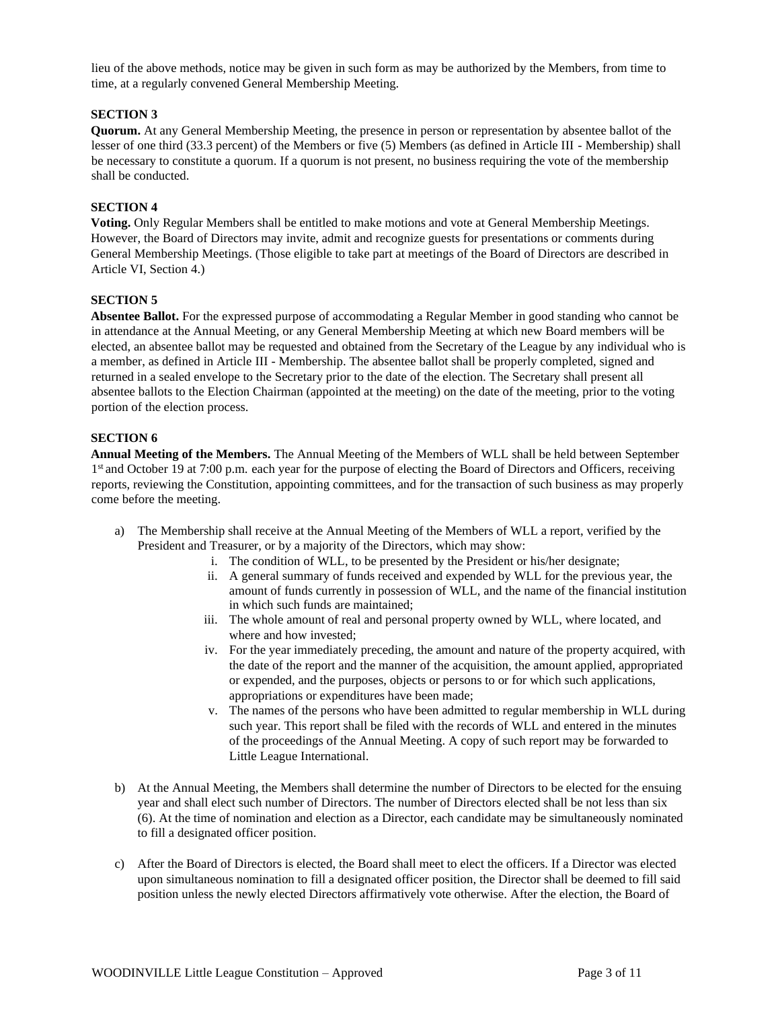lieu of the above methods, notice may be given in such form as may be authorized by the Members, from time to time, at a regularly convened General Membership Meeting.

#### **SECTION 3**

**Quorum.** At any General Membership Meeting, the presence in person or representation by absentee ballot of the lesser of one third (33.3 percent) of the Members or five (5) Members (as defined in Article III - Membership) shall be necessary to constitute a quorum. If a quorum is not present, no business requiring the vote of the membership shall be conducted.

#### **SECTION 4**

**Voting.** Only Regular Members shall be entitled to make motions and vote at General Membership Meetings. However, the Board of Directors may invite, admit and recognize guests for presentations or comments during General Membership Meetings. (Those eligible to take part at meetings of the Board of Directors are described in Article VI, Section 4.)

#### **SECTION 5**

**Absentee Ballot.** For the expressed purpose of accommodating a Regular Member in good standing who cannot be in attendance at the Annual Meeting, or any General Membership Meeting at which new Board members will be elected, an absentee ballot may be requested and obtained from the Secretary of the League by any individual who is a member, as defined in Article III - Membership. The absentee ballot shall be properly completed, signed and returned in a sealed envelope to the Secretary prior to the date of the election. The Secretary shall present all absentee ballots to the Election Chairman (appointed at the meeting) on the date of the meeting, prior to the voting portion of the election process.

#### **SECTION 6**

**Annual Meeting of the Members.** The Annual Meeting of the Members of WLL shall be held between September 1<sup>st</sup> and October 19 at 7:00 p.m. each year for the purpose of electing the Board of Directors and Officers, receiving reports, reviewing the Constitution, appointing committees, and for the transaction of such business as may properly come before the meeting.

- a) The Membership shall receive at the Annual Meeting of the Members of WLL a report, verified by the President and Treasurer, or by a majority of the Directors, which may show:
	- i. The condition of WLL, to be presented by the President or his/her designate;
	- ii. A general summary of funds received and expended by WLL for the previous year, the amount of funds currently in possession of WLL, and the name of the financial institution in which such funds are maintained;
	- iii. The whole amount of real and personal property owned by WLL, where located, and where and how invested;
	- iv. For the year immediately preceding, the amount and nature of the property acquired, with the date of the report and the manner of the acquisition, the amount applied, appropriated or expended, and the purposes, objects or persons to or for which such applications, appropriations or expenditures have been made;
	- v. The names of the persons who have been admitted to regular membership in WLL during such year. This report shall be filed with the records of WLL and entered in the minutes of the proceedings of the Annual Meeting. A copy of such report may be forwarded to Little League International.
- b) At the Annual Meeting, the Members shall determine the number of Directors to be elected for the ensuing year and shall elect such number of Directors. The number of Directors elected shall be not less than six (6). At the time of nomination and election as a Director, each candidate may be simultaneously nominated to fill a designated officer position.
- c) After the Board of Directors is elected, the Board shall meet to elect the officers. If a Director was elected upon simultaneous nomination to fill a designated officer position, the Director shall be deemed to fill said position unless the newly elected Directors affirmatively vote otherwise. After the election, the Board of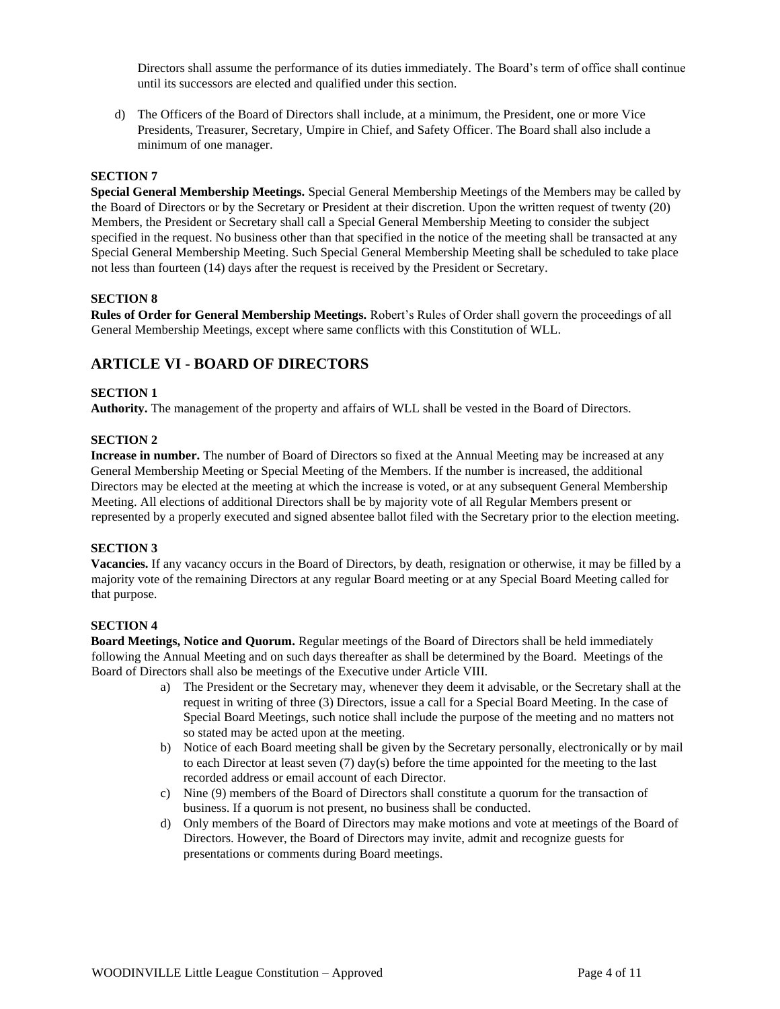Directors shall assume the performance of its duties immediately. The Board's term of office shall continue until its successors are elected and qualified under this section.

d) The Officers of the Board of Directors shall include, at a minimum, the President, one or more Vice Presidents, Treasurer, Secretary, Umpire in Chief, and Safety Officer. The Board shall also include a minimum of one manager.

#### **SECTION 7**

**Special General Membership Meetings.** Special General Membership Meetings of the Members may be called by the Board of Directors or by the Secretary or President at their discretion. Upon the written request of twenty (20) Members, the President or Secretary shall call a Special General Membership Meeting to consider the subject specified in the request. No business other than that specified in the notice of the meeting shall be transacted at any Special General Membership Meeting. Such Special General Membership Meeting shall be scheduled to take place not less than fourteen (14) days after the request is received by the President or Secretary.

#### **SECTION 8**

**Rules of Order for General Membership Meetings.** Robert's Rules of Order shall govern the proceedings of all General Membership Meetings, except where same conflicts with this Constitution of WLL.

## **ARTICLE VI - BOARD OF DIRECTORS**

#### **SECTION 1**

**Authority.** The management of the property and affairs of WLL shall be vested in the Board of Directors.

#### **SECTION 2**

**Increase in number.** The number of Board of Directors so fixed at the Annual Meeting may be increased at any General Membership Meeting or Special Meeting of the Members. If the number is increased, the additional Directors may be elected at the meeting at which the increase is voted, or at any subsequent General Membership Meeting. All elections of additional Directors shall be by majority vote of all Regular Members present or represented by a properly executed and signed absentee ballot filed with the Secretary prior to the election meeting.

## **SECTION 3**

**Vacancies.** If any vacancy occurs in the Board of Directors, by death, resignation or otherwise, it may be filled by a majority vote of the remaining Directors at any regular Board meeting or at any Special Board Meeting called for that purpose.

#### **SECTION 4**

**Board Meetings, Notice and Quorum.** Regular meetings of the Board of Directors shall be held immediately following the Annual Meeting and on such days thereafter as shall be determined by the Board. Meetings of the Board of Directors shall also be meetings of the Executive under Article VIII.

- a) The President or the Secretary may, whenever they deem it advisable, or the Secretary shall at the request in writing of three (3) Directors, issue a call for a Special Board Meeting. In the case of Special Board Meetings, such notice shall include the purpose of the meeting and no matters not so stated may be acted upon at the meeting.
- b) Notice of each Board meeting shall be given by the Secretary personally, electronically or by mail to each Director at least seven (7) day(s) before the time appointed for the meeting to the last recorded address or email account of each Director.
- c) Nine (9) members of the Board of Directors shall constitute a quorum for the transaction of business. If a quorum is not present, no business shall be conducted.
- d) Only members of the Board of Directors may make motions and vote at meetings of the Board of Directors. However, the Board of Directors may invite, admit and recognize guests for presentations or comments during Board meetings.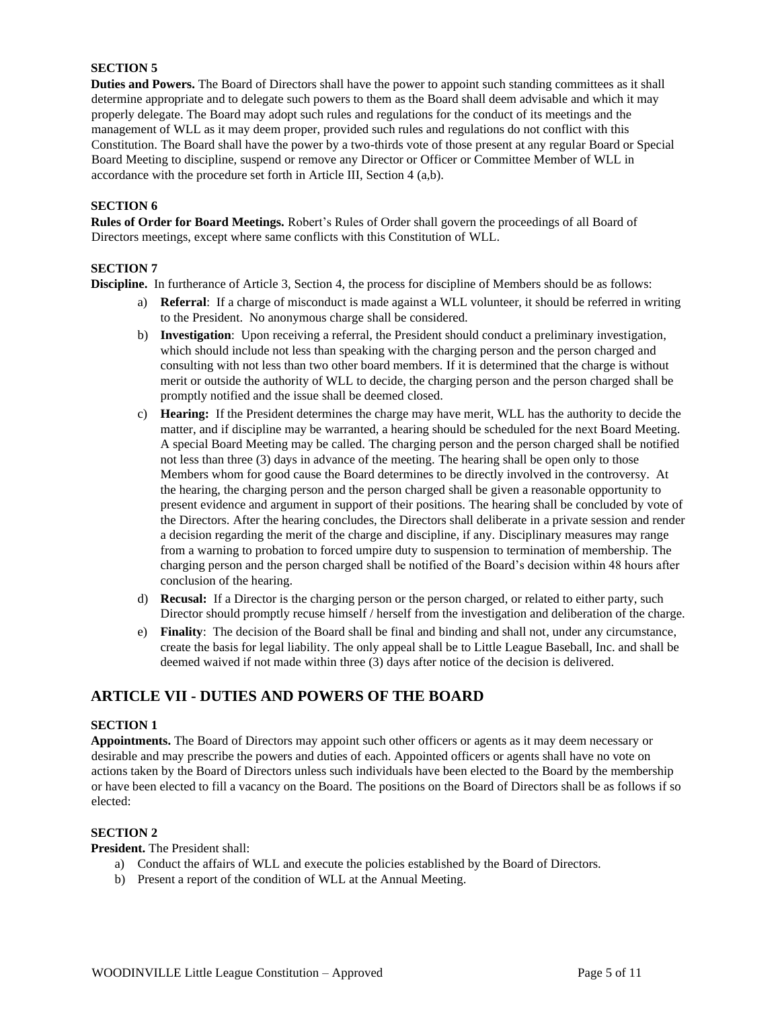**Duties and Powers.** The Board of Directors shall have the power to appoint such standing committees as it shall determine appropriate and to delegate such powers to them as the Board shall deem advisable and which it may properly delegate. The Board may adopt such rules and regulations for the conduct of its meetings and the management of WLL as it may deem proper, provided such rules and regulations do not conflict with this Constitution. The Board shall have the power by a two-thirds vote of those present at any regular Board or Special Board Meeting to discipline, suspend or remove any Director or Officer or Committee Member of WLL in accordance with the procedure set forth in Article III, Section 4 (a,b).

## **SECTION 6**

**Rules of Order for Board Meetings.** Robert's Rules of Order shall govern the proceedings of all Board of Directors meetings, except where same conflicts with this Constitution of WLL.

#### **SECTION 7**

**Discipline.** In furtherance of Article 3, Section 4, the process for discipline of Members should be as follows:

- a) **Referral**: If a charge of misconduct is made against a WLL volunteer, it should be referred in writing to the President. No anonymous charge shall be considered.
- b) **Investigation**: Upon receiving a referral, the President should conduct a preliminary investigation, which should include not less than speaking with the charging person and the person charged and consulting with not less than two other board members. If it is determined that the charge is without merit or outside the authority of WLL to decide, the charging person and the person charged shall be promptly notified and the issue shall be deemed closed.
- c) **Hearing:** If the President determines the charge may have merit, WLL has the authority to decide the matter, and if discipline may be warranted, a hearing should be scheduled for the next Board Meeting. A special Board Meeting may be called. The charging person and the person charged shall be notified not less than three (3) days in advance of the meeting. The hearing shall be open only to those Members whom for good cause the Board determines to be directly involved in the controversy. At the hearing, the charging person and the person charged shall be given a reasonable opportunity to present evidence and argument in support of their positions. The hearing shall be concluded by vote of the Directors. After the hearing concludes, the Directors shall deliberate in a private session and render a decision regarding the merit of the charge and discipline, if any. Disciplinary measures may range from a warning to probation to forced umpire duty to suspension to termination of membership. The charging person and the person charged shall be notified of the Board's decision within 48 hours after conclusion of the hearing.
- d) **Recusal:** If a Director is the charging person or the person charged, or related to either party, such Director should promptly recuse himself / herself from the investigation and deliberation of the charge.
- e) **Finality**: The decision of the Board shall be final and binding and shall not, under any circumstance, create the basis for legal liability. The only appeal shall be to Little League Baseball, Inc. and shall be deemed waived if not made within three (3) days after notice of the decision is delivered.

## **ARTICLE VII - DUTIES AND POWERS OF THE BOARD**

#### **SECTION 1**

**Appointments.** The Board of Directors may appoint such other officers or agents as it may deem necessary or desirable and may prescribe the powers and duties of each. Appointed officers or agents shall have no vote on actions taken by the Board of Directors unless such individuals have been elected to the Board by the membership or have been elected to fill a vacancy on the Board. The positions on the Board of Directors shall be as follows if so elected:

#### **SECTION 2**

**President.** The President shall:

- a) Conduct the affairs of WLL and execute the policies established by the Board of Directors.
- b) Present a report of the condition of WLL at the Annual Meeting.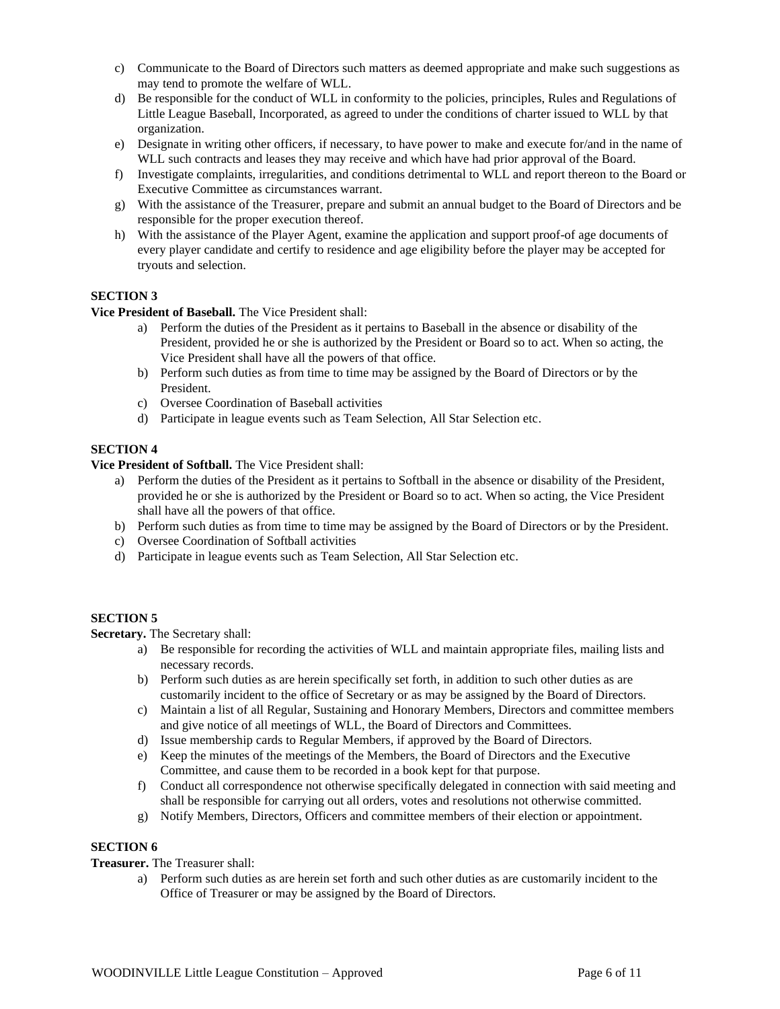- c) Communicate to the Board of Directors such matters as deemed appropriate and make such suggestions as may tend to promote the welfare of WLL.
- d) Be responsible for the conduct of WLL in conformity to the policies, principles, Rules and Regulations of Little League Baseball, Incorporated, as agreed to under the conditions of charter issued to WLL by that organization.
- e) Designate in writing other officers, if necessary, to have power to make and execute for/and in the name of WLL such contracts and leases they may receive and which have had prior approval of the Board.
- f) Investigate complaints, irregularities, and conditions detrimental to WLL and report thereon to the Board or Executive Committee as circumstances warrant.
- g) With the assistance of the Treasurer, prepare and submit an annual budget to the Board of Directors and be responsible for the proper execution thereof.
- h) With the assistance of the Player Agent, examine the application and support proof-of age documents of every player candidate and certify to residence and age eligibility before the player may be accepted for tryouts and selection.

**Vice President of Baseball.** The Vice President shall:

- a) Perform the duties of the President as it pertains to Baseball in the absence or disability of the President, provided he or she is authorized by the President or Board so to act. When so acting, the Vice President shall have all the powers of that office.
- b) Perform such duties as from time to time may be assigned by the Board of Directors or by the President.
- c) Oversee Coordination of Baseball activities
- d) Participate in league events such as Team Selection, All Star Selection etc.

## **SECTION 4**

**Vice President of Softball.** The Vice President shall:

- a) Perform the duties of the President as it pertains to Softball in the absence or disability of the President, provided he or she is authorized by the President or Board so to act. When so acting, the Vice President shall have all the powers of that office.
- b) Perform such duties as from time to time may be assigned by the Board of Directors or by the President.
- c) Oversee Coordination of Softball activities
- d) Participate in league events such as Team Selection, All Star Selection etc.

## **SECTION 5**

**Secretary.** The Secretary shall:

- a) Be responsible for recording the activities of WLL and maintain appropriate files, mailing lists and necessary records.
- b) Perform such duties as are herein specifically set forth, in addition to such other duties as are customarily incident to the office of Secretary or as may be assigned by the Board of Directors.
- c) Maintain a list of all Regular, Sustaining and Honorary Members, Directors and committee members and give notice of all meetings of WLL, the Board of Directors and Committees.
- d) Issue membership cards to Regular Members, if approved by the Board of Directors.
- e) Keep the minutes of the meetings of the Members, the Board of Directors and the Executive Committee, and cause them to be recorded in a book kept for that purpose.
- f) Conduct all correspondence not otherwise specifically delegated in connection with said meeting and shall be responsible for carrying out all orders, votes and resolutions not otherwise committed.
- g) Notify Members, Directors, Officers and committee members of their election or appointment.

## **SECTION 6**

## **Treasurer.** The Treasurer shall:

a) Perform such duties as are herein set forth and such other duties as are customarily incident to the Office of Treasurer or may be assigned by the Board of Directors.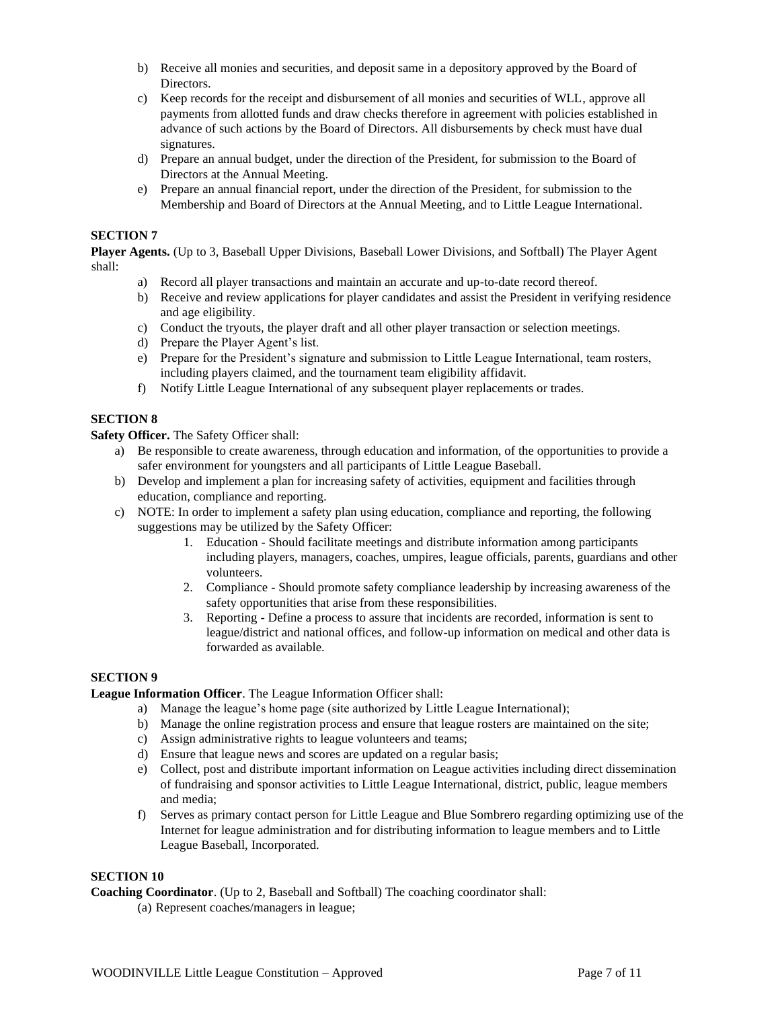- b) Receive all monies and securities, and deposit same in a depository approved by the Board of Directors.
- c) Keep records for the receipt and disbursement of all monies and securities of WLL, approve all payments from allotted funds and draw checks therefore in agreement with policies established in advance of such actions by the Board of Directors. All disbursements by check must have dual signatures.
- d) Prepare an annual budget, under the direction of the President, for submission to the Board of Directors at the Annual Meeting.
- e) Prepare an annual financial report, under the direction of the President, for submission to the Membership and Board of Directors at the Annual Meeting, and to Little League International.

**Player Agents.** (Up to 3, Baseball Upper Divisions, Baseball Lower Divisions, and Softball) The Player Agent shall:

- a) Record all player transactions and maintain an accurate and up-to-date record thereof.
- b) Receive and review applications for player candidates and assist the President in verifying residence and age eligibility.
- c) Conduct the tryouts, the player draft and all other player transaction or selection meetings.
- d) Prepare the Player Agent's list.
- e) Prepare for the President's signature and submission to Little League International, team rosters, including players claimed, and the tournament team eligibility affidavit.
- f) Notify Little League International of any subsequent player replacements or trades.

## **SECTION 8**

**Safety Officer.** The Safety Officer shall:

- a) Be responsible to create awareness, through education and information, of the opportunities to provide a safer environment for youngsters and all participants of Little League Baseball.
- b) Develop and implement a plan for increasing safety of activities, equipment and facilities through education, compliance and reporting.
- c) NOTE: In order to implement a safety plan using education, compliance and reporting, the following suggestions may be utilized by the Safety Officer:
	- 1. Education Should facilitate meetings and distribute information among participants including players, managers, coaches, umpires, league officials, parents, guardians and other volunteers.
	- 2. Compliance Should promote safety compliance leadership by increasing awareness of the safety opportunities that arise from these responsibilities.
	- 3. Reporting Define a process to assure that incidents are recorded, information is sent to league/district and national offices, and follow-up information on medical and other data is forwarded as available.

## **SECTION 9**

## **League Information Officer**. The League Information Officer shall:

- a) Manage the league's home page (site authorized by Little League International);
- b) Manage the online registration process and ensure that league rosters are maintained on the site;
- c) Assign administrative rights to league volunteers and teams;
- d) Ensure that league news and scores are updated on a regular basis;
- e) Collect, post and distribute important information on League activities including direct dissemination of fundraising and sponsor activities to Little League International, district, public, league members and media;
- f) Serves as primary contact person for Little League and Blue Sombrero regarding optimizing use of the Internet for league administration and for distributing information to league members and to Little League Baseball, Incorporated.

#### **SECTION 10**

**Coaching Coordinator**. (Up to 2, Baseball and Softball) The coaching coordinator shall:

(a) Represent coaches/managers in league;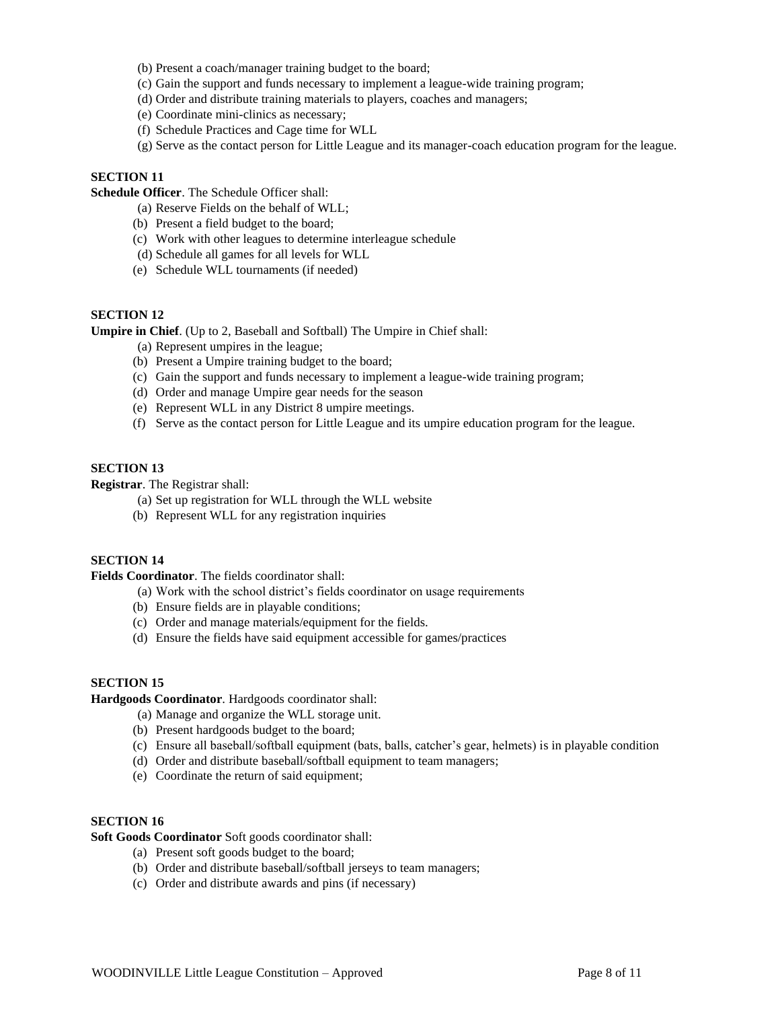- (b) Present a coach/manager training budget to the board;
- (c) Gain the support and funds necessary to implement a league-wide training program;
- (d) Order and distribute training materials to players, coaches and managers;
- (e) Coordinate mini-clinics as necessary;
- (f) Schedule Practices and Cage time for WLL
- (g) Serve as the contact person for Little League and its manager-coach education program for the league.

**Schedule Officer**. The Schedule Officer shall:

- (a) Reserve Fields on the behalf of WLL;
- (b) Present a field budget to the board;
- (c) Work with other leagues to determine interleague schedule
- (d) Schedule all games for all levels for WLL
- (e) Schedule WLL tournaments (if needed)

## **SECTION 12**

**Umpire in Chief**. (Up to 2, Baseball and Softball) The Umpire in Chief shall:

- (a) Represent umpires in the league;
- (b) Present a Umpire training budget to the board;
- (c) Gain the support and funds necessary to implement a league-wide training program;
- (d) Order and manage Umpire gear needs for the season
- (e) Represent WLL in any District 8 umpire meetings.
- (f) Serve as the contact person for Little League and its umpire education program for the league.

## **SECTION 13**

**Registrar**. The Registrar shall:

- (a) Set up registration for WLL through the WLL website
- (b) Represent WLL for any registration inquiries

## **SECTION 14**

**Fields Coordinator**. The fields coordinator shall:

- (a) Work with the school district's fields coordinator on usage requirements
- (b) Ensure fields are in playable conditions;
- (c) Order and manage materials/equipment for the fields.
- (d) Ensure the fields have said equipment accessible for games/practices

#### **SECTION 15**

#### **Hardgoods Coordinator**. Hardgoods coordinator shall:

- (a) Manage and organize the WLL storage unit.
- (b) Present hardgoods budget to the board;
- (c) Ensure all baseball/softball equipment (bats, balls, catcher's gear, helmets) is in playable condition
- (d) Order and distribute baseball/softball equipment to team managers;
- (e) Coordinate the return of said equipment;

## **SECTION 16**

**Soft Goods Coordinator** Soft goods coordinator shall:

- (a) Present soft goods budget to the board;
- (b) Order and distribute baseball/softball jerseys to team managers;
- (c) Order and distribute awards and pins (if necessary)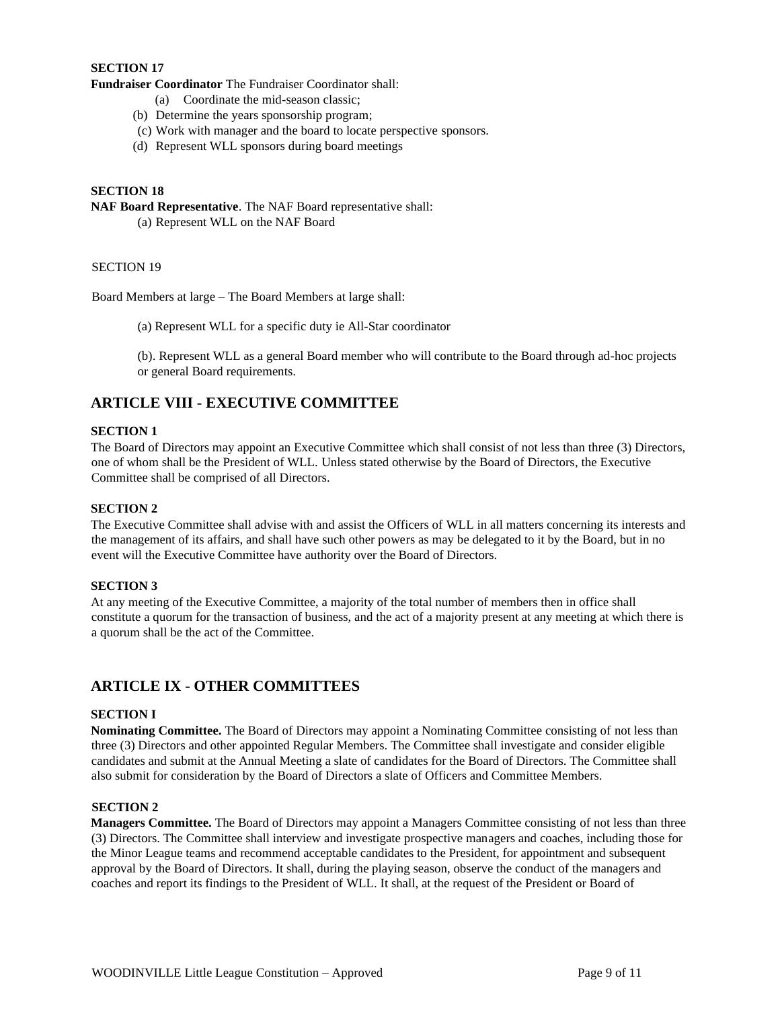**Fundraiser Coordinator** The Fundraiser Coordinator shall:

- (a) Coordinate the mid-season classic;
- (b) Determine the years sponsorship program;
- (c) Work with manager and the board to locate perspective sponsors.
- (d) Represent WLL sponsors during board meetings

## **SECTION 18**

**NAF Board Representative**. The NAF Board representative shall:

(a) Represent WLL on the NAF Board

## SECTION 19

Board Members at large – The Board Members at large shall:

(a) Represent WLL for a specific duty ie All-Star coordinator

(b). Represent WLL as a general Board member who will contribute to the Board through ad-hoc projects or general Board requirements.

## **ARTICLE VIII - EXECUTIVE COMMITTEE**

#### **SECTION 1**

The Board of Directors may appoint an Executive Committee which shall consist of not less than three (3) Directors, one of whom shall be the President of WLL. Unless stated otherwise by the Board of Directors, the Executive Committee shall be comprised of all Directors.

#### **SECTION 2**

The Executive Committee shall advise with and assist the Officers of WLL in all matters concerning its interests and the management of its affairs, and shall have such other powers as may be delegated to it by the Board, but in no event will the Executive Committee have authority over the Board of Directors.

## **SECTION 3**

At any meeting of the Executive Committee, a majority of the total number of members then in office shall constitute a quorum for the transaction of business, and the act of a majority present at any meeting at which there is a quorum shall be the act of the Committee.

## **ARTICLE IX - OTHER COMMITTEES**

## **SECTION I**

**Nominating Committee.** The Board of Directors may appoint a Nominating Committee consisting of not less than three (3) Directors and other appointed Regular Members. The Committee shall investigate and consider eligible candidates and submit at the Annual Meeting a slate of candidates for the Board of Directors. The Committee shall also submit for consideration by the Board of Directors a slate of Officers and Committee Members.

### **SECTION 2**

**Managers Committee.** The Board of Directors may appoint a Managers Committee consisting of not less than three (3) Directors. The Committee shall interview and investigate prospective managers and coaches, including those for the Minor League teams and recommend acceptable candidates to the President, for appointment and subsequent approval by the Board of Directors. It shall, during the playing season, observe the conduct of the managers and coaches and report its findings to the President of WLL. It shall, at the request of the President or Board of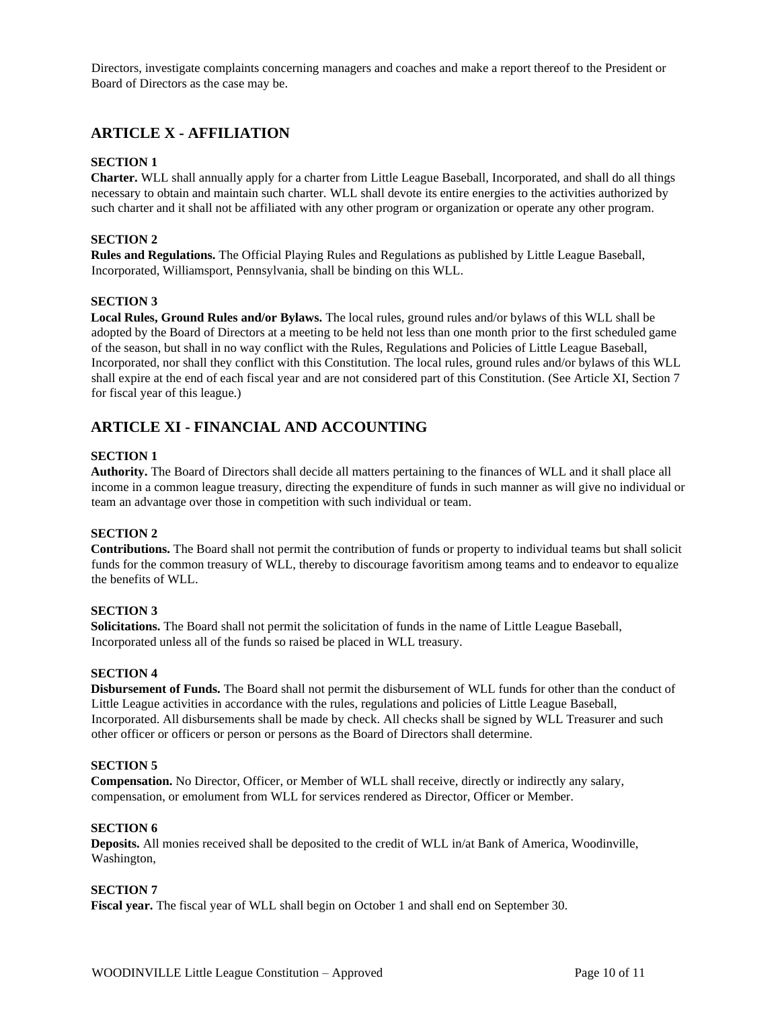Directors, investigate complaints concerning managers and coaches and make a report thereof to the President or Board of Directors as the case may be.

## **ARTICLE X - AFFILIATION**

## **SECTION 1**

**Charter.** WLL shall annually apply for a charter from Little League Baseball, Incorporated, and shall do all things necessary to obtain and maintain such charter. WLL shall devote its entire energies to the activities authorized by such charter and it shall not be affiliated with any other program or organization or operate any other program.

#### **SECTION 2**

**Rules and Regulations.** The Official Playing Rules and Regulations as published by Little League Baseball, Incorporated, Williamsport, Pennsylvania, shall be binding on this WLL.

#### **SECTION 3**

**Local Rules, Ground Rules and/or Bylaws.** The local rules, ground rules and/or bylaws of this WLL shall be adopted by the Board of Directors at a meeting to be held not less than one month prior to the first scheduled game of the season, but shall in no way conflict with the Rules, Regulations and Policies of Little League Baseball, Incorporated, nor shall they conflict with this Constitution. The local rules, ground rules and/or bylaws of this WLL shall expire at the end of each fiscal year and are not considered part of this Constitution. (See Article XI, Section 7 for fiscal year of this league.)

## **ARTICLE XI - FINANCIAL AND ACCOUNTING**

#### **SECTION 1**

**Authority.** The Board of Directors shall decide all matters pertaining to the finances of WLL and it shall place all income in a common league treasury, directing the expenditure of funds in such manner as will give no individual or team an advantage over those in competition with such individual or team.

#### **SECTION 2**

**Contributions.** The Board shall not permit the contribution of funds or property to individual teams but shall solicit funds for the common treasury of WLL, thereby to discourage favoritism among teams and to endeavor to equalize the benefits of WLL.

## **SECTION 3**

**Solicitations.** The Board shall not permit the solicitation of funds in the name of Little League Baseball, Incorporated unless all of the funds so raised be placed in WLL treasury.

#### **SECTION 4**

**Disbursement of Funds.** The Board shall not permit the disbursement of WLL funds for other than the conduct of Little League activities in accordance with the rules, regulations and policies of Little League Baseball, Incorporated. All disbursements shall be made by check. All checks shall be signed by WLL Treasurer and such other officer or officers or person or persons as the Board of Directors shall determine.

#### **SECTION 5**

**Compensation.** No Director, Officer, or Member of WLL shall receive, directly or indirectly any salary, compensation, or emolument from WLL for services rendered as Director, Officer or Member.

#### **SECTION 6**

**Deposits.** All monies received shall be deposited to the credit of WLL in/at Bank of America, Woodinville, Washington,

## **SECTION 7**

**Fiscal year.** The fiscal year of WLL shall begin on October 1 and shall end on September 30.